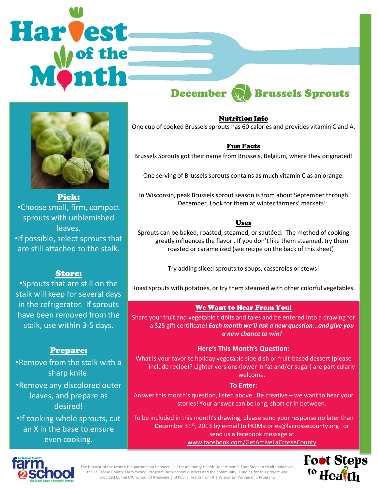# **Harvest** December **M** Brussels Sprouts



Pick: •Choose small, firm, compact sprouts with unblemished leaves. •If possible, select sprouts that are still attached to the stalk.

# Store:

•Sprouts that are still on the stalk will keep for several days in the refrigerator. If sprouts have been removed from the stalk, use within 3-5 days.

# Prepare:

•Remove from the stalk with a sharp knife.

•Remove any discolored outer leaves, and prepare as desired!

•If cooking whole sprouts, cut an X in the base to ensure even cooking.

Nutrition Info One cup of cooked Brussels sprouts has 60 calories and provides vitamin C and A.

### Fun Facts

Brussels Sprouts got their name from Brussels, Belgium, where they originated!

One serving of Brussels sprouts contains as much vitamin C as an orange.

In Wisconsin, peak Brussels sprout season is from about September through December. Look for them at winter farmers' markets!

# Uses

Sprouts can be baked, roasted, steamed, or sautéed. The method of cooking greatly influences the flavor . If you don't like them steamed, try them roasted or caramelized (see recipe on the back of this sheet)!

Try adding sliced sprouts to soups, casseroles or stews!

Roast sprouts with potatoes, or try them steamed with other colorful vegetables.

#### We Want to Hear From You!

Share your fruit and vegetable tidbits and tales and be entered into a drawing for a \$25 gift certificate! *Each month we'll ask a new question...and give you a new chance to win!* 

#### **Here's This Month's Question:**

What is your favorite holiday vegetable side dish or fruit-based dessert (please include recipe)? Lighter versions (lower in fat and/or sugar) are particularly welcome.

#### **To Enter:**

Answer this month's question, listed above . Be creative – we want to hear your stories! Your answer can be long, short or in between.

To be included in this month's drawing, please send your response no later than December 31st, 2013 by e-mail to **HOMstories@lacrossecounty.org** or send us a facebook message at www.facebook.com/GetActiveLaCrosseCounty



The Harvest of the Month is a partnership between La Crosse County Health Department's Foot Steps to Health initiative, the La Crosse County Farm2School Program, area school districts and the community. Funding for this project was provided by the UW School of Medicine and Public Health from the Wisconsin Partnership Program.